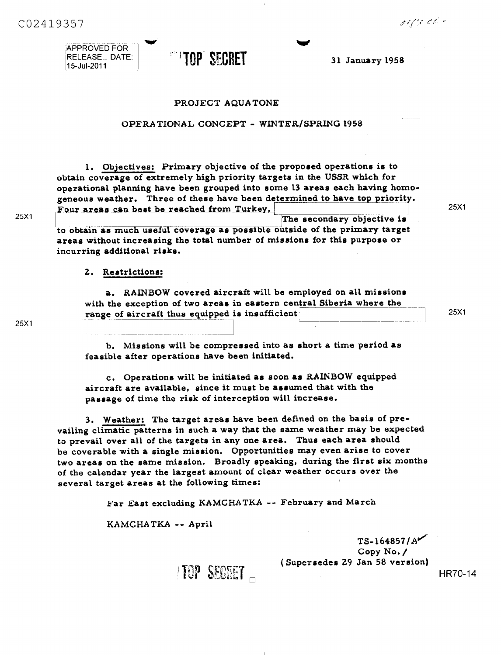orgy et

CO2419357

APPROVED FOR RELEASE1\_ DATE:



**Isse**

## PROJECT AQUA TONE

## OPERATIONAL CONCEPT - WINTER/SPRING 1958

1. Objectives: **Primary objective of** the proposed operations is to obtain coverage of extremely high priority targets in the USSR which for operational planning have been grouped into some 13 areas each having homogeneous weather. Three of these have been determined to have top priority. Four **areas** can best be reached from Turkey, The secondary objective is

to obtain *as* much useful coverage as possible outside of the primary target areas without increasing the total number of missions for this purpose or incurring additional risks.

# 2. Restrictions:

a. RAINBOW covered aircraft will be employed on all missions with the exception of two areas in eastern central Siberia where the range of aircraft thus equipped *is* insufficient

25X1

25X1

b. Missions will be compressed into as short a time period as feasible after operations have been initiated.

c. Operations will be initiated as soon as RAINBOW equipped aircraft are available, since it must be assumed that with the passage of time the risk of interception will increase.

3. Weather: The target areas have been defined on the basis of prevailing climatic patterns in such a way that the same weather may be expected to prevail over all of the targets in any one area. Thus each area should be coverable with a single mission. Opportunities may even arise to cover two **areas** on the same mission. Broadly speaking, during the first **six** months of the calendar year the largest amount of clear weather occurs over the several target areas at the following times:

Far East excluding KAMCHATKA -- February and March

KAMCHATKA -- April

TS-164857 *<sup>1</sup>* Copy No./ (Supersedes 29 Jan 58 version)

HR70-14

l IUP SECRET

25X1

25X1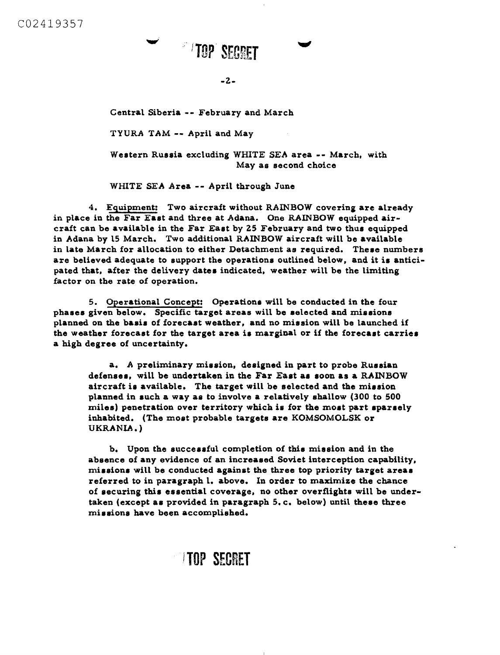# **TOP SEGRET**<br>-2-<br>February and<br>pril and May **TOP SECRET**

**-2-**

**a**<br> **Warch**<br> **Warch Central Siberia -- February and March**

**TYUR.A TAM -- April and May**

**Western Russia excluding WHITE SEA area -- March, with May as second choice**

**WHITE SEA Area -- April through June**

**4. Equipment: Two aircraft without RAINBOW covering are already in place in the Far East and three at Adana. One RAINBOW equipped aircraft can be available in the Far East by 25 February and two thus equipped in Adana by 15 March. Two additional RAINBOW aircraft will be available in late March for allocation to either Detachment as required. These numbers are believed adequate to support the operations outlined below, and it is anticipated that, after the delivery dates indicated, weather will be the limiting factor on the rate of operation.**

**5. Operational Concept: Operations will be conducted in the four phases given below. Specific target areas will be selected and missions planned on the basis of forecast weather, and no mission will be launched if the weather forecast for the target area is marginal or if the forecast carries a high degree of uncertainty.**

**a. A preliminary** *mission,* **designed in part to probe Russian defenses, will be undertaken in the Far East as soon as a RAINBOW aircraft is available. The target will be selected and the mission planned in such a way as to involve a relatively shallow (300 to 500 miles) penetration over territory which** *is* **for the most part sparsely inhabited. (The most probable targets are KOMSOMOLSK or UKRANIA.)**

**b. Upon the successful completion of this mission and in the absence of any evidence of an increased Soviet interception capability, missions will be conducted against the three top priority target areas referred to in paragraph 1. above. In order to maximize the chance of securing this essential coverage, no other overflights will be undertaken (except as provided in paragraph 5.c. below) until these three missions have been accomplished.**

# **)TOP SECRET**